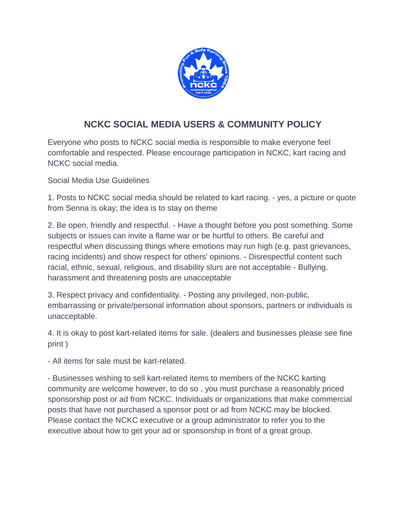

## **NCKC SOCIAL MEDIA USERS & COMMUNITY POLICY**

Everyone who posts to NCKC social media is responsible to make everyone feel comfortable and respected. Please encourage participation in NCKC, kart racing and NCKC social media.

Social Media Use Guidelines

1. Posts to NCKC social media should be related to kart racing. - yes, a picture or quote from Senna is okay; the idea is to stay on theme

2. Be open, friendly and respectful. - Have a thought before you post something. Some subjects or issues can invite a flame war or be hurtful to others. Be careful and respectful when discussing things where emotions may run high (e.g. past grievances, racing incidents) and show respect for others' opinions. - Disrespectful content such racial, ethnic, sexual, religious, and disability slurs are not acceptable - Bullying, harassment and threatening posts are unacceptable

3. Respect privacy and confidentiality. - Posting any privileged, non-public, embarrassing or private/personal information about sponsors, partners or individuals is unacceptable.

4. It is okay to post kart-related items for sale. (dealers and businesses please see fine print )

- All items for sale must be kart-related.

- Businesses wishing to sell kart-related items to members of the NCKC karting community are welcome however, to do so , you must purchase a reasonably priced sponsorship post or ad from NCKC. Individuals or organizations that make commercial posts that have not purchased a sponsor post or ad from NCKC may be blocked. Please contact the NCKC executive or a group administrator to refer you to the executive about how to get your ad or sponsorship in front of a great group.